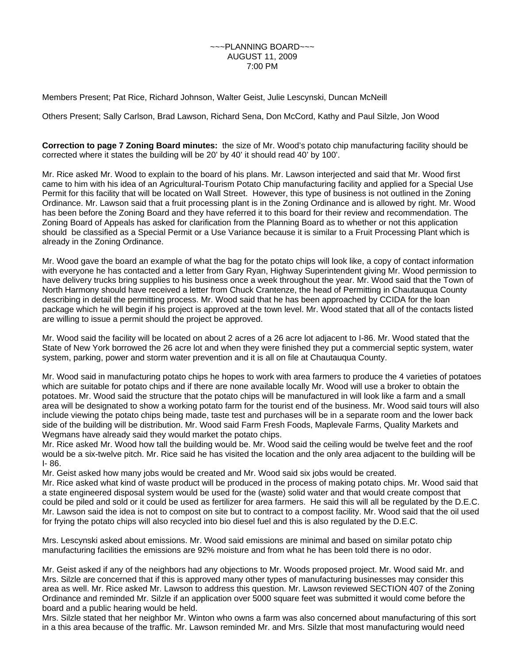Members Present; Pat Rice, Richard Johnson, Walter Geist, Julie Lescynski, Duncan McNeill

Others Present; Sally Carlson, Brad Lawson, Richard Sena, Don McCord, Kathy and Paul Silzle, Jon Wood

**Correction to page 7 Zoning Board minutes:** the size of Mr. Wood's potato chip manufacturing facility should be corrected where it states the building will be 20' by 40' it should read 40' by 100'.

Mr. Rice asked Mr. Wood to explain to the board of his plans. Mr. Lawson interjected and said that Mr. Wood first came to him with his idea of an Agricultural-Tourism Potato Chip manufacturing facility and applied for a Special Use Permit for this facility that will be located on Wall Street. However, this type of business is not outlined in the Zoning Ordinance. Mr. Lawson said that a fruit processing plant is in the Zoning Ordinance and is allowed by right. Mr. Wood has been before the Zoning Board and they have referred it to this board for their review and recommendation. The Zoning Board of Appeals has asked for clarification from the Planning Board as to whether or not this application should be classified as a Special Permit or a Use Variance because it is similar to a Fruit Processing Plant which is already in the Zoning Ordinance.

Mr. Wood gave the board an example of what the bag for the potato chips will look like, a copy of contact information with everyone he has contacted and a letter from Gary Ryan, Highway Superintendent giving Mr. Wood permission to have delivery trucks bring supplies to his business once a week throughout the year. Mr. Wood said that the Town of North Harmony should have received a letter from Chuck Crantenze, the head of Permitting in Chautauqua County describing in detail the permitting process. Mr. Wood said that he has been approached by CCIDA for the loan package which he will begin if his project is approved at the town level. Mr. Wood stated that all of the contacts listed are willing to issue a permit should the project be approved.

Mr. Wood said the facility will be located on about 2 acres of a 26 acre lot adjacent to I-86. Mr. Wood stated that the State of New York borrowed the 26 acre lot and when they were finished they put a commercial septic system, water system, parking, power and storm water prevention and it is all on file at Chautauqua County.

Mr. Wood said in manufacturing potato chips he hopes to work with area farmers to produce the 4 varieties of potatoes which are suitable for potato chips and if there are none available locally Mr. Wood will use a broker to obtain the potatoes. Mr. Wood said the structure that the potato chips will be manufactured in will look like a farm and a small area will be designated to show a working potato farm for the tourist end of the business. Mr. Wood said tours will also include viewing the potato chips being made, taste test and purchases will be in a separate room and the lower back side of the building will be distribution. Mr. Wood said Farm Fresh Foods, Maplevale Farms, Quality Markets and Wegmans have already said they would market the potato chips.

Mr. Rice asked Mr. Wood how tall the building would be. Mr. Wood said the ceiling would be twelve feet and the roof would be a six-twelve pitch. Mr. Rice said he has visited the location and the only area adjacent to the building will be I- 86.

Mr. Geist asked how many jobs would be created and Mr. Wood said six jobs would be created.

Mr. Rice asked what kind of waste product will be produced in the process of making potato chips. Mr. Wood said that a state engineered disposal system would be used for the (waste) solid water and that would create compost that could be piled and sold or it could be used as fertilizer for area farmers. He said this will all be regulated by the D.E.C. Mr. Lawson said the idea is not to compost on site but to contract to a compost facility. Mr. Wood said that the oil used for frying the potato chips will also recycled into bio diesel fuel and this is also regulated by the D.E.C.

Mrs. Lescynski asked about emissions. Mr. Wood said emissions are minimal and based on similar potato chip manufacturing facilities the emissions are 92% moisture and from what he has been told there is no odor.

Mr. Geist asked if any of the neighbors had any objections to Mr. Woods proposed project. Mr. Wood said Mr. and Mrs. Silzle are concerned that if this is approved many other types of manufacturing businesses may consider this area as well. Mr. Rice asked Mr. Lawson to address this question. Mr. Lawson reviewed SECTION 407 of the Zoning Ordinance and reminded Mr. Silzle if an application over 5000 square feet was submitted it would come before the board and a public hearing would be held.

Mrs. Silzle stated that her neighbor Mr. Winton who owns a farm was also concerned about manufacturing of this sort in a this area because of the traffic. Mr. Lawson reminded Mr. and Mrs. Silzle that most manufacturing would need